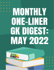# $\bullet$ MONTHLY ONE-HNER GK DIGESTE MAY 2022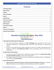# **Contents**

# **Monthly One-Liner GK Digest: May 2022**

# **International News**

# <span id="page-1-0"></span>**French Opt Out of India Project for Submarines**

- The France Naval group is opposed to the **AIP Technology,** being demanded by India. AIP (Air Independent Propulsion) is a technology that allows submarines to stay underwater for a longer period of time.
- Project P75 I was approved by the cabinet committee on security, in June 1999. It was planned to have indigenous production of **24 submarines by 2030.** Two lines of production under P75 and P75I were commenced.

# **US Federal Reserve Rates Raised**

- In a move to contain the inflation that is affecting the global markets the US **Federal Open Market Committee (like MPC in India),** raised the interest rates by 0.5%.
- The change in the position of the US currency has a ripple effect on the global economies, including India. The US Fed is led by **Jerome Powell.**

# **Russia Seeks Revival of LC**

 **Amid sanctions by most of the European countries, led by the United States of America**, It has become difficult for Russia to carry out transactions as Russia has been banned from using SWIFT.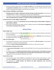Russia has therefore asked India to use the **letter of credit** once in use decades ago, which comes with the **guarantee of payment,** despite any changes in the market structure. Indian and Russian central banks are working on this keeping in mind the sanctions imposed.

# **India Contributes \$8,00,000 to United Nations**

- **GOI (Government of India) in collaboration with the UN Dept of public information** has launched the 'Hindi@UN Project' in 2018, to expand the use of Hindi in the United Nations.
- The Cheque has been handed over by **Ravindra who is India's permanent representative to Mota Hosali who is the deputy director and officer in charge of the News and Media Division.**

# **US Overtook China as India's Biggest Trading Partner**

- Considering the statistics the **trade between the US and India stood at \$119.42 billion compared to \$80.51 billion in 2020-21.**
- Many experts believed that this sudden increase in bilateral trade with the **US is due to strengthening the economic ties between both countries.**

# **National News**

# <span id="page-2-0"></span>**Metro Freight Trains**

- Ministry of Railways will roll out high-speed freight trains, for faster movement of goods, to help reduce the cost of products.
- 25 Trains of the design of Vande Bharat, which could run at a speed of **160 km/h,** will be manufactured by Integral Coach Factory, Chennai.

# **India's First Ethanol Plant**

- The Ethanol Plant at Purnea is one of its kind with an investment of **105 crore rupees**, set up by private entrepreneurs. It will have zero liquid discharge.
- This plant is **India's first grain-based Ethanol unit.** It would run on Rice husk and maize.

# **First Semiconductor Fabrication Unit in India**

- The **government of Karnataka** has signed an MoU with ISMC for the first semiconductor fabrication unit in India.
- In a major success of the **National Semiconductor Mission, the Government of Karnataka has entered into a Memorandum of Understanding with Israel-based ISMC Analog fabrication private limited,** to inaugurate the first semiconductor fabrication unit in India.

# **Farmer Distress Index**

- The agricultural sector lender NABARD has developed the farmer Distress Index, based on certain parameters. **NABARD** conducted an extensive field study in cooperation with **Bharat Krishak Samaj.**
- The parameters are **rainfall variation, soil moisture, dry spells, temperature, pest, and weed management among others.**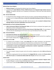# **National Open Access Registry**

- **Ministry of power** has developed the National open Access Registry.
- Launched by the **Union Ministry of Power, NOAR will serve as an integrated single-window clearance Platform.** The platform will also act as a repository of information on short-term inter-state electricity transmission.

# **Indo - German Relationship**

- An Indo-German Green Hydrogen climate task force has been constituted following PM Modi's visit. It paved the way for pledging **10 bn Euros, to attain the Sustainable Development Goals (17 SDGs set up by UNO).**
- The 10 bn Euros fund will continue until 2030. India has become able **to extend its National Green Hydrogen Mission and attract stakeholders from across the world.**

# **Joint Declaration on Forest Landscape Restoration**

- **India's Environment Minister Shri Bhupendra Yadav** and Her German counterpart have signed a joint declaration on forest Landscape Restoration.
- **India's total forest cover is 24.71%, as per the Forest Survey of India Report 2021.** This percentage is much less than the stipulated goal of 33 % forest cover as per the National Forest Policy 1988.

# **India - Denmark Relations**

- **Honorable Prime Minister Shri Narendra Modi** is on a country tour to Europe.
- Denmark will also host the **2nd India -Nordic Summit in Copenhagen.** Nordic countries form a significant pearl of India's foreign policy in Europe.

# **Delimitation of UT of J&K**

- As ordered by the President of India, under **Article 82** of the Indian Constitution, the Delimitation Commission has demarcated new legislative and parliamentary constituencies in the UT of J&K.
- The Delimitation Commission headed by Retd. Justice Ranjana Prakash Desai has assigned **43 legislative constituencies to Jammu and 47 legislative constituencies to Kashmir respectively,** considering their corresponding population of 44% and 56%.

# **Vehicle Scrapping Facility**

- The union transport ministry has given nod to the vehicle scrapping units within **150 km of the city centers.**
- The vehicle scrapping policy that was introduced in the **Budget 2021-22,** mandates that **Private vehicles older than 15 years** and **commercial vehicles older than 10 years** will have to be scrapped.

# **Cyclone Asani**

- A tropical cyclone emanates when the **average sea surface temperature exceeds 27 degrees celsius.** The Bay of Bengal is a cyclone hotspot following climate change.
- Cyclone Asani is about **to make landfall as per IMD, however, its speed would be as low as 25 km/h.**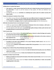# **Collaboration to Combat Hate Speech**

- **Hate speech is a major menace being faced by India and is deeply harming communal harmony and her social fabric.** In order to curb the instances of hate speech, IIIT Delhi and LOGICALLY have collaborated.
- The MHA had also set up a **committee on combating hate speech under the cabinet secretary Shri Rajeev Gauba.**

# **Tomato Flu Outbreak in Southern Parts of India**

- The children who got affected by **this disease have seen different kinds of symptoms like abdominal cramps, nausea, vomiting or diarrhea, and discoloration of the hands, knees, and buttocks.**
- Since **Tomato flu is contagious, there is a need to avoid close contact** with the infected person.

# **Skill India International Centre to be developed in Varanasi**

- A MOU was signed between **NSDC international & Hindustan Ports Ltd to introduce a skill center** in Varanasi to train Indian youth for overseas employment.
- The main objective of the skill center is **to provide high-quality training to Indian youth and also meet the global demand of countries like UAE, Canada, etc.**

# **YUVA Tourism Clubs**

- The main aim of these initiatives is **to nurture and create an interest in cultural heritage and a passion for tourism from class VI-Class X of the school.**
- The tourism ministry has also issued a **handbook which provides information to the clubs on what are they supposed to do.**

# **23.5 Lakh Premature Death in India Lancet Study**

- **According to the latest study published in The Lancet Planetary Health Journal**, India saw 23.5 L premature death due to pollution.
- The main cause of **pollution-related deaths is ambient PM 2.5 tiny particles** in the air which in turn leads to 9.8 lakh deaths.

# **Changes Done in Biofuel Policy Ethanol Blending Target Advanced**

- The new amendments have been introduced **to make the National bio fule policy even more effective which came in 2018.**
- From now onwards government will **allow more feedstocks for the production of biofuels.**

# **Formation of Cotton Council of India**

- **Ministry of Textile has announced the formation of the Cotton Council of India** under the chairmanship of Suresh Bhai Kotak.
- The formation of the Cotton Council will **help to increase the productivity of cotton and provides tangible growth in this sector.**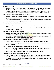# **Seoul Forest Declaration**

- Recently 15th World forest congress hosted by **Food & Agriculture Organization was held in Seoul, South Korea in which the Seoul declaration was signed and adopted by 141 countries.**
- Through this declaration, it urges all the stakeholders, and institutions to take responsibility for forests and asked for the investment **in forest and landscape restoration globally needs to triple by 2030.**

# **India is planning to Collaborate with France on Green Hydrogen**

- Presently **India has 158 GW of installed capacity for renewable energy and another 87 GW** is in the pipeline. With the help of this collaboration, India can achieve its target.
- They were also investing enormously in clean energy in India and are in the process of developing more than **24 GW of renewable energy projects in the country.**

# **Govt Decided to Impose Restrictions on Sugar Exports**

- Recently the government has decided **to put a cap on sugar exports to take action on the domestic market.**
- **Apart from that government has allowed the export of sugar up to 100 LMT (lakh metric tonnes)** with a view to maintaining price stability.

# **India's Palm Oil Imports Could Fall 11 Year Low**

- **It is also expected that India's palm oil imports in 2021-22 could fall to 6.7 million tonnes by Oct 31st** which is the lowest since 2010.
- **Apart from that government has allowed duty-free imports of 2 million tonnes** each of crude soy oil and crude sunflower oil for the current and next fiscal years.

# **Government of India plans to Build 18000 km of Highway in FY23**

- The main aim of the government is to build the **2 lakh km of national highway network by 2025.**
- Presently India's national highway construction slowed to 28.65 km per day and they wanted to **increase it to 50 km per day.**

# **Govt of India Approves New Rules for MSME Cluster Development Programme**

- With the approval of this, it **will enhance the competitiveness and productivity of micro and small enterprises by undertaking certain interventions.**
- It includes the **setting up of common facility centers and infrastructure development.**

# **PM Employment Generation Programme extended till FY26**

- The main objective of the scheme is **to facilitate the generation of employment opportunities for youth across the country** by assisting them in setting up micro-enterprises in non-farm sectors.
- As per their commitment, **this scheme will create sustainable employment opportunities for about 40 lakh persons in five financial years.**

# **Banking**

# <span id="page-5-0"></span>**SEBI releases Easier Anchor Investor Rules**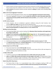- Anchor Investors are those institutional investors whose investment in an IPO motivates others to invest. These investors boost the confidence of the retail investors. They are also called **Celebrity Investors.**
- **Lock in period** for the Anchor Investors has been reduced to **30 days** for public issues exceeding 10000 crore rupees.

# **SEBI to Join Account Aggregator Framework**

- Securities and Exchange Board of India, will join the **account aggregator framework for data sharing.**
- The account aggregator framework is meant **to allow the customers to share information about their mutual fund and stock portfolio with the financial service providers,** such as Brokers, lenders, wealth managers, etc.

# **LIC IPO: Anchor Investors**

- Anchor Investors, who are considered to generate confidence among the retail investors, have invested **5,600 crore rupees** since the IPO was first opened for them.
- The Securities market regulator SEBI had easies the norms **for conducting the IPO of LIC by allowing below threshold liquidation of company shares (i.e 3.5%, instead of 5%).**

# **RBI Hikes the Key Policy Rates**

- The Central bank (RBI), held a surprise meeting of the **Monetary Policy Committee and brought about key changes in policy rates.**
- **Looking at the consistently growing inflation, which crossed the 4+/- 2% threshold this quarter at 6.95%,** the Reserve Bank of India hiked the key policy rates. The increase is meant to contain inflation in the long term.

# **CEA Estimates the Indian Economy to Grow 7- 8.5%**

- Chief Economic Advisor in a recent **meeting projected the Indian economy to grow at 7 -8.5%.**
- The **Chief Economic Advisor Dr. V Anantha Nageswaran**, in a recent meeting with the credit agencies, forecasted the Indian economy to grow at 7 to 8.5%.

# **Services Export at an All Time High**

- The services Export has reached **254.4 bn USD**, this fiscal.
- India's Services sector export grew by **23.4%,** in 2021-22 to touch above 250 bn USD mark despite the pandemic causing serious restrictions on trade.

# **5 Trillion USD by 2029**

- The IMF has projected that **India would achieve the 5 Trillion USD mark by the year 2029.**
- **India is a 3 trillion USD economy and stands as the 6th largest in the world.** The Government of India had put forth her ambitious target of achieving 5 Trillion USD by 2024. However, COVID 19 pandemic created havoc on all sectors of the economy by forcing the markets to close.

# **Banks Follow RBI's Policy Stance**

 The Reserve Bank of India, in an unprecedented move, held an emergency meeting of MPC and announced new policy rates **to contain the inflation which had soared past the 6% threshold.**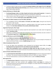The Reserve Bank of India has been mandated **to maintain inflation in the range of 2 to 6 %. RBI hiked the repo by 40 bps following which ICICI Bank,** Bank of Baroda, and Bank of India made corresponding hikes in their interest rates too.

# **Services PMI Grows to 5 Months High**

- **Purchasing Managers Index is an index of goods and services sector growth expansion**. It categorizes countries below and above 50 indicating contraction and expansion respectively.
- India's Services sector PMI has jumped to 57.9 indicating robust demand in her services sector. The services sector contributes **54% of gross value added (GVA), currently.**

# **RIL becomes 1st Indian Company to Cross the 100 bn USD Mark**

- The consolidated revenue of **RIL stands at 7.92 lakh crore Indian rupees.** During the last fiscal RIL generated 2.1 lakh new jobs.
- Becoming a 102 bn USD company makes RIL, a significant player in the nation's growth story. Mukesh Ambani is the **2nd richest individual in the country, behind Gautam Adani.**

# **Sagarmala Project gets a New Target**

- The government of India has recently revised the total investment to be made under the Sagarmala Project, **launched in 2015.**
- Sagarmala, an ambitious project that aims to ensure last-mile coastal connectivity, has seen a revision in the **Investment target from 1 Trillion Rupees to 6.5 Trillion Rupees.**

# **India has 100 Unicorns worth 333 billion USD**

- As per **Ministry of commerce data**, India has a total of 100 Unicorns.
- India has added 44 unicorns in fiscal 2021-22, worth 93 billion USD. As per the Dept for Promotion of Industry and Internal Trade, as many as **66,000 startups** have come.

# **Urban Unemployment Dips to 8.7%**

- As per the labour force participation survey conducted by the National statical office, the **urban Unemployment has improved to 8.7%, from 9.8% last quarter (Sept 2021).**
- **Labour force participation survey is conducted for people above the age of 15 years**, obeying the mandate of Article 24 of the Indian Constitution that prohibits employing children below 14 years of age.

# **Govt to Privatise United India Insurance**

- The **government has infused 100 crore rupees into United Insurance** this fiscal to improve the health of the insurer. The insurance company had reported a net loss of 1,485 crore rupees in 2019-20.
- The task of disinvestment is carried out by DIPAM, which is under the **Ministry of Finance.**

# **NGT Imposes Fine**

- The **National Green Tribunal** has imposed a fine on Singareni collieries in Telangana.
- Singareni collieries have been punished with a **penalty of 41.21 crore rupees** for violating the environment clearances and mining excess coal, in Telangana. It is a state-owned unit of Telangana under the Ministry of Energy Resources.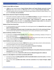# **Toyota to Invest 4800 crore Rupees**

- A **MoU** has been signed between **Toyota Kirloskar Motors and Toyota Kirloskar auto parts to invest 4100 crore** Indian rupees and the rest **700 crores** will be invested by **Toyota Industries Engine India.**
- The plant would be set up in Karnataka and is bound to give Phillip to the electric vehicle industry. It is a part of the **Go Green, Go Local initiative.**

# **NSDL Investor Awareness Program for Boasting Investment**

- The Investor awareness program has been named **Market ka Eklavya**, it has been introduced to raise awareness among the investors for boosting the investment atmosphere in India.
- As per the **USTR data, less than 2 % of Indians, make investments in money and capital market together**, whereas this data in the **United States of America is close to 35%,** thus allowing the market to make domestic borrowings with more sovereignty.

# **Release of Taxes from Central Pool**

- As recommended by the Finance committee, the central government has **released this sum as a grant against the Revenue Deficit.**
- As per the **15th finance commission report, the states have a share of 41 % in the central pool of taxes.** 1% tax has been kept separate for the development of UT Jammu and Kashmir and UT of Ladakh.

# **Banks Considering a Database of Frauds**

- As directed by the **Reserve Bank of India,** Banks are considering constituting a database of frauds, for better credit penetration.
- On the lines of the **Central Fraud Registry**, the Indian public and private sector banks are also mulling having a similar database that would record even attempted fraud.

# **Switch Mobility to Invest 1000 crore Rupees**

- In a push for the Government of India's **FAME 2.0** that seeks to make India an electric vehicle destination, many private players have come forward to make investments.
- The electric vehicle unit would be **set up on the outskirts of Chennai in Tamilnadu.**

# **SEBI Revises InvITs Rule with Regards to Payment for Fees for IPO**

- SEBI has come up with new norms **to implement draft filing fees to be paid by infrastructure investment trusts (InvITs)** for IPO and rights issues.
- According to present data, **a total of Rs 21,195 crore was collected through InvITs in 2021-22.**

# **Xpress Car a New Digital Car Loan Scheme Launched by HDFC Bank**

- The bank has linked its **lending application with all automobile dealers across the country** to facilitate this scheme for end-users.
- This car loan scheme **provides loans faster, and more convenient, for car buyers through a digital medium.**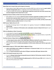# **Rupee Slips into its Lowest Value and its Impact on Economy**

- Reserve Bank of India's (RBI) monetary policy committee (MPC) also could not stop the **rupee's decline with their changed policy rates** as a widening current account deficit possess a concern.
- In order to counter the currency loss, RBI has been using forex reserves but even forex reserves have **also been dropped to their lowest level in a year.**

# **RBI Revises Norms for Banks on Short Term Crop Loan Under KCC**

- RBI modified norms for banks **to claim the amount of interest subvention provided to farmers under the short-term crop loan scheme** through the Kisan Credit Card (KCC) during the last fiscal.
- Pending claims for the **fiscal year 2021-22 can be submitted by June 30, 2023, and they must be duly certified by statutory auditors** whether it is true or false.

# **SEBI Proposes Tighten Norms for CIS**

- Securities & Exchange Board of India tightens the regulatory framework for **Collective Investment Scheme (CIS).**
- SEBI mandated a **minimum of 20 investors and a subscription amount of atleast Rs 20 crore** for each CIS.

# **PAN to be Mandatory in More Transaction**

- A cash deposit (or deposits) aggregating **to Rs 20 lakh or more in a financial year.**
- **Having one or more accounts of a person with a banking company**, a co-operative bank, or a post office will require PAN to be furnished.

# **Two New Schemes of Repco Bank Launched by Union Minister**

- The **New deposit scheme which is also called Repco Subiksham destined for senior citizens** which are above the age of 60 years and super senior citizens who are above the age of 80 years.
- The Interest rate under this **scheme was decided as 7.15% for senior citizens and 7.25% for super senior citizens.**

# **Retail Inflation Jumps to 7.79% in April, Which is Highest in 8 Years**

- **India's retail inflation took a sudden turn and jumps to 7.79 percent in April**, which was mainly caused due to high oil and food prices.
- This is the **fourth consecutive month where CPI figures stood above RBI upper tolerance limit.**

# **India's FY23 Growth Forecasts Cuts to 7.6%**

- As per the **Morgan Stanley Report the growth forecast of India for FY23 has been revised to 7.6% from 7.9%** which is estimated earlier.
- Apart from that, **it has also projected the global growth at 2.9% for the year 2022** which is below the half 6.2% of the previous year i.e 2021.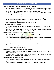**'Trade nxt' is a Cross Border Online Platform Launched by Union Bank of India**

- It provides a hassle-free experience and various services for all enterprises **who were unable to conduct all export-import transactions, they can get a letter of credit, bank guarantees, export/import bills, outward and inward remittances, and many other things in a single platform.**
- Apart from that, it includes many key features like **digital transactions around the clock, payment reminders, payment due dates, etc.**

# **Union Government Overachieved the Target of Assets Monetization for FY22**

- During the review of the asset monetization plan it has been revealed that the **government has monetized the assets worth 96,000 crores for FY22 compared to the target of 88,000 crores.**
- This has been **achieved by state and central governments under the asset monetization program** and in upcoming years they have an investment potential of 9 lakh crores.

# **Penalty Imposed on KEB Hana Bank by RBI**

- **59 lakh penalty has been imposed by RBI on KEB Hana Bank** for not following certain norms related to interest rates on deposits.
- During an inspection, **RBI came to know that it doesn't comply with the directions issued by RBI under 'Reserve bank of India'** (interest rate on deposits) directions 2016'.

# **India's First Dental Insurance Plan Launched By PNB Met Life Insurance**

- **•** Recently **PNB Met Life Insurance has launched its first dental plan through which customers can secure** their dental health at any time.  $\overline{\phantom{a}}$
- This Dental package offers the **customer the complete package of benefits and also financial assistance with costs related to dental health.**

# **Remittances to be increased by 4.2% in 2022**

- According to estimates it is expected that **remittance to be increased by 4.2 % to reach \$630 billion in 2022.**
- While **India, emerged as the largest remittance-receiving country in 2021** while Mexico occupied second place and pushed China to third place.

# **Indian Economy to Grow by 12-13% Expected by Rating Agency ICRA**

- According to ICRA's recent report, the **Indian economy will likely grow by 12-13%** as per the maintained **GDP projection of 7.2%.**
- The business activity monitor was kept at **115.7 for April which is 16% higher than the last year.** The same growth will be expected to be maintained in May.

# **Government Extends GST Payment Deadline**

- The GST payment deadlines have been **extended till May 24** as the customers were **facing technical glitches in the GST portal.**
- The actual deadline for **filing FORM GSTR-3B and GSTR-2B is in April 2022, according to CBIC.**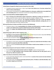# **United Nations Dropped the Global Economy Growth by 3.3% in 2022**

- The global economic growth faces a major impact **due to the Ukraine war, it has been reduced from 4.0% to 3.3% by United Nations.**
- As the world is recovering from the **COVID-9 Pandemic at a slow pace, suddenly due to war global food and commodity prices** have drastically increased and creating inflationary pressures.

# **India's Central Bank RBI has Modified Eligibility Criteria**

- **Due to licensing and authorization-related requirements subjecting to fishing and aquaculture** are getting varied from State to state that RBI has made few changes to eligibility criteria.
- According to the recent notification, **the respective beneficiaries must own or lease any fisheriesrelated assets such as ponds, tanks, open water bodies, raceways, hatcheries, rearing units, etc** must possess authorization from their respective states.

# **RBI issued Directions for Banks and ATMs on Card less Cash Withdrawals**

- The Reserve Bank of India, **issued guidelines for all Banks and ATM operators to enable an option of cardless cash withdrawal by using the Unified Payment Interface (UPI Facility).**
- Initially, the **cardless cash withdrawal facility is provided by only a few banks** in their respective bank ATMs.

# **Global Rating Agency S&P Cut India's Growth to 7.3%**

- **According to recent projections done by S & P,** India's growth forecast has been reduced **to 7.3% from 7.8% (which was estimated earlier).**
- It has also increased its inflation **forecast for India by 90 basis points (bps) to 6.3%.**

# **FDI Inflows in India Increases to \$83.57Bn In 2022**

- According to a recent report released by the **Consumer industry has stated that the FDI inflows in India have been increased from \$81.97Bn to \$83.57Bn.**
- When we compared **to the last seven years the FDI inflow in India has been doubled** and 20-fold from 2003-to 04.

# **RBI Bank Board Agreed to the Payment of 30,307 cr to the Government**

- Recently **RBI bank board approved the transfer of a 30,307cr** surplus to the government.
- Apart from that **RBI's Monetary Policy Committee (MPC), estimated that the GDP growth rate for Financial Year 2022-23 would be 7.2%.**

# **India's Forex Reserves Declined by 2.676 bn Dollars**

- As per recent data released by India's central bank RBI, the **country's forex reserves has been declined by \$2.676 bn to \$593.27bn.**
- In the Earlier week, the **reserves had already declined by USD 1.774 billion to USD 595.954 billion. Now its number stepped up to \$2.676 bn.**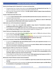# **Petrol to Get Cheaper by Rs 9, Diesel by Rs 7 as Centre cuts Excise Duty**

- The government has cut down excise duty on petrol **by Rs 8 per liter and diesel by Rs 6 per liter.** This results in to decrease in the price of petrol by Rs 9.5/ltr and diesel by 7/ltr.
- Apart from that, the government will give an **Rs 200/ cylinder subsidy to Ujjwala Yojana beneficiaries for 12 cylinders in a year.**

# **Frauds in Public Sector Bank Falls to 51%**

- In a recent **report released by India's central bank RBI stated that there has been a fall of 51% i**n frauds involved by Public Sector Banks.
- But, the number of fraud cases didn't fall at the same speed, from **2021to 22 a total of 7,940 frauds were reported by the PSBs besides 9,933 incidents reported in FY21.**

# **India Sends over a \$2 bn Humanitarian Consignment**

- As there is a huge crisis in **Sri Lanka India supplied a large amount of humanitarian assistance consignment worth over Rs 2 billion** to tackle this situation.
- The consignment includes **9,000 metric tons of rice, and 50 metric tons of milk powder, together with over 25 metric tons of drugs** and other pharmaceutical supplies for emergency use.

# **Centre Think over of Spending 2 lakh Crores to Fight Inflation**

- As per recent data, retail inflation rose to an eight-year high in April i.e **7.79%** while wholesale inflation rose to at least a **17-year high i.e 15.08%.**
- The recent decision taken by the government on cutting down the prices of petrol and diesel will also impact the revenue of the government which is estimated at **around 1 lakh crore.**

# **RBI hints at an Increase in Policy Rates in the Next MPC Meeting**

- As a part of that **RBI hiked the repo rate by 40 basis points to 4.4%, and is expected to increase** the key lending rates again in the June meeting.
- Both fiscal and monetary authorities are brainstorming **to control inflation which has already stayed above the central bank's mandated target band of 2-6%.**

# **Market Regulator SEBI Issues New Rules for Constitution**

- SEBI has constituted a Working Group that consists of various stakeholders from the passive fund's domain like AMCs, mutual fund trustees, and stockbrokers. **On basis of the recommendation of the committee, SEBI has issued new norms for Passive funds.**
- In lieu of debt ETFs and index funds, the market regulator **SEBI capped group-level exposure at 25%** the cap will not apply when it comes to investment in public sector entities.

# **RBI formed a Panel to Review Customer Service Standards**

- The timeline was given for the committee **to submit its report three months from the date of the first meeting.**
- The option has been given to the committee that **they may also invite domain experts and RBI officials for consultations or to participate in its discussions.**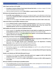# **India's Export may Rise to \$1T by 2030**

- **According to Commerce Ministry Piyush Goyal informed that India** can achieve a target of \$1 trillion worth of merchandise and service export.
- India has already touched the record of **\$421.8 billion in exports during FY March 2022.**

# **RBI Enhance the Housing Finance Limit to Rs 10 Lakh**

- **As per RBI's recent notification** limit on loans for carrying out repairs, or any alterations to their house had now been **revised to Rs 10 lakh in metropolitan centers Rand s 6 lakh in other centers for all urban cooperative banks.**
- Initially, the limit was pegged at **Rs 2 lakh in rural and semi-urban areas and Rs 5 lakh in urban areas.**

# **Public Sector Banks to pay Rs 8,000 cr Dividend to Centre**

- Recently **RBI also transfer a surplus of 30,307cr to the government** to tackle the economic challenges.
- According to Banking Regulation Act, **banks should pay dividends only if they have cleared their capitalized expenses, and can carry forward losses that should be waived off.**

# **SEBI Simplifies the Procedure for Issuance of Duplicate Securities**

- Market regulator the **Securities and Exchange Board of India (Sebi) has simplified the procedure for issuing duplicate securities** which provide a hassle-free experience and is investor-friendly.
- These changes have come due to a **recent review of the regulator, on the procedure followed by the registrars and the issuer companies.**

# **RBI Planning to Introduce Comprehensive IT Outsourcing Framework**

- This could be developed under the aegis of the **National Payments Corporation of India (NPCI) or the Institute for Development and Research in Banking Technology.**
- Apart from that RBI's **Cyber Security and IT Examination Cell in the Department of Banking Supervision** to play a significant role in outlining the new framework.

# **RBI slashes Net-Worth requirement for Non-Bank Bharat Bill Payment Units**

- Non-banking companies now need **Rs 25 crores minimum** net worth to set up Bharat Bill Payment Operating Units (BBPOU).
- Presently there is a requirement of **100 crores to set up a non-bank Bharat Bill Payment Operating Units.**

# **Moody's cuts Calendar year 2022 India GDP growth Forecast**

- According to the rating agency **Moody's India GDP growth rate is pegged at 8.8% for 2022 (CY22) compared to 9.1% earlier.** Stating the reason as high inflation.
- According to them, it is expected that **India's retail inflation to increase to 6.8% in 2022 compared to 5.7% in 2021.**

# **RBI issues Guidelines for Gold Import by Qualified Jewelers**

 These Qualified jewelers can only import gold through IIBX or other exchanges but it must be approved by **International Financial Services Centers Authority.**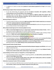In addition to it, banks can allow these **jewelers to remit advance payment for 11 days** for the import of gold.

# **RBI Planning to Explore Policy Framework for BigTech in FY23**

- As per the Central bank, the approach will have **to balance innovation with regulation, without compromising on any of the principles of risk management.**
- Generally, there are three types of risks faced by **Fintech or BigTech entities like systemic risks, operational risks, and risks affecting competition, RBI has already warned many companies** against these kinds of risks while entering the market.

# **RBI Annual Report for 2021-22**

- The Reserve Bank of India has released the **RBI Annual Report 2021-22 which mainly focus on structural reforms for sustained, balanced, and inclusive growth.**
- The **surplus of Rs 30,307.45 crore in 2021-22 compared to Rs 99,122** transferred to the government was due to a sharp increase in the Contingency Fund.

# **RBI to Adopt Graded Approach for Introducing Digital Currency**

- **CBDC or Central Bank Digital Currency is a legal tender issued by the Reserve Bank of India.** A CBDC is an electronic record or digital token of a country's official currency.
- Now they have been exploring the pros and cons of the introduction of CBDC in India, working on design elements of **CBDCs that could be implemented without any disruption or loopholes.**

# **CBIC issued Norms for Recovering Tax Dues from Insolvent Companies**

- The Central Board of Indirect Taxes and Customs (CBIC) has issued certain norms **to ensure the timely recovery of goods and services tax (GST) dues from companies undergoing liquidation.**
- **To overcome that CBIC nominated a nodal officer to ensure the filing of claims** with the Insolvency and Bankruptcy Board of India **within 90 days of the commencement of the process.**

# **Centre Amends Faceless Penalty Scheme**

- **This step has been taken to reduce the personal interface between taxpayers and officials** and to avoid delays in processing cases.
- Whenever there is a need for a personal hearing this will be conducted through **National Faceless Penalty Centre which includes video conferencing or video telephony.**

# **Centre Mulling to Lift the Curtain on Taxing NFT as a Virtual Digital Asset**

- The Central Board of Direct Taxes (CBDT) is preparing guidelines, **on what will be covered within the ambit of virtual digital assets (VDA).**
- Apart from that, they **will also provide clarity on the credit card or loyalty points, which are awarded or redeemed digitally and have underlying value or not.**

# **Alternative Investment Funds in FY22 are doubled**

 As per recent data from SEBI Alternative investment funds (AIF) received a commitment of **Rs 1.9 trillion from investors, which is more than double compared to Rs 81,228 crores.**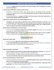This time the **biggest chunk of commitments came under Category 2 AIFs, harvesting Rs 1.62 trillion worth of commitments.**

# **Stressed assets of NBFC-MFIs to Decline by 14% as of End**

- According to a rating agency CRISIL report Stressed assets of non-banking financial companiesmicrofinance institutions are estimated **to have declined to around 14% as of March compared to 22% in September 2021.**
- It has been calculated as an **average of 97-100% in the fourth quarter of last fiscal, which shows as overall monthly collection efficiency was healthy.**

# **State Finances improve and Gross Fiscal Deficit Declines by 31.5%**

- According to the recent report of RBI State finances showed improvement in 2021-22 as the **consolidated gross fiscal deficit (GFD) of 26 states was lower by 31.5% compared to the previous year.**
- As per the information available, **the gross fiscal deficit declined mainly due to higher growth in revenue receipts this year by 30.5% compared to 8.6% in 2020-21.**

# **RBI Focussing on Emerging Risks in the Fintech Space**

- The central bank, **considering emerging risks in the fintech segment**. Since greater use of technology emphasizes the concerns related to cyber security.
- **Fintechs Companies play a vital role in providing the financial services space in terms of products**, customer servicing, back-end analytics, and delivery of services without any disruption.



# <span id="page-15-0"></span>**World Press Freedom Index**

- The RSF released the **20th version of the World press freedom Index 2022.**
- The **Paris-based NGO Reporters without Borders** has come up with the 20th edition of the world press freedom index, which is compiled based on 6 broad parameters.

# **Reports**

# <span id="page-15-1"></span>**State of Inequality in India Report**

- **Economic Advisory Council to the Prime Minister (EAC-PM), Bibek Debroy, Chairman**, has released The State of Inequality in India Report. Made by Institute for Competitiveness.
- This report provides a complete analysis of the depth and nature of disparity in India which includes **various sectors of health, education, household characteristics, and the labor market.**

# **ILO has released 9th Edition of 'World of Work'**

- It has been reported the number of hours worked **globally dropped in the first quarter of 2022, to 3.8%. About 11.2 crore jobs have lost during this period.**
- It is observed that **both India and lower-middle-income countries experienced a deterioration of the gender gap** in work hours in the second quarter of 2020.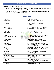**National Achievement Survey Report 2021**

- **Ministry of Education has released the National Achievement Survey 2021** which discussed about last year's assessment of over 34 lakh students in 1.18 lakh schools.
- The main objective of this survey is **to evaluate children's progress and learning competencies as an indicator of the efficiency of the education system.**

<span id="page-16-0"></span>

| <b>Name of the Person</b>                      | <b>Designation</b>                                  |  |
|------------------------------------------------|-----------------------------------------------------|--|
| Vinay Kwatra                                   | India's Foreign Secretary                           |  |
| Sangeeta Singh                                 | Additional Charge of CBDT Chairman                  |  |
| Nand Mulchandani                               | CIA's Technology Officer                            |  |
| Shri Rajiv Ranjan                              | Ex-officio Member of the Monetary policy            |  |
|                                                | committee                                           |  |
| Tarun Kapoor                                   | New Advisor to the Prime Minister in PMO            |  |
| Gyanesh Kumar                                  | New Secretary of the Ministry of Cooperation        |  |
| Alkesh Kumar Sharma                            | Secretary of the Ministry of Electronics and        |  |
|                                                | <b>Information Technology</b>                       |  |
| Archana Gulati                                 | Policy head of Google                               |  |
| Arvind Krishna                                 | <b>Federal Reserve Bank of New York</b>             |  |
| Indian American lawyer diplomat Richard Verma  | Member of the US Intelligence Advisory Board        |  |
| Jean Pierre                                    | First Black LGBTQ White House Press Secretary       |  |
| Justice Sudhanshu Dhulia and Justice Jamshed B | Supreme Court Judges, under Article 124             |  |
| Pardiwala                                      |                                                     |  |
| John Lee Ka-Chiu                               | Hong Kong's Next Chief Executive                    |  |
| Yoon Suk-yeol                                  | South Korean president in a huge ceremony at        |  |
|                                                | Seoul's National Assembly                           |  |
| Rajiv Kumar                                    | 25th Chief Election Commissioner of India           |  |
| Campbell Wilson                                | New Chief Executive Officer (CEO) and Managing      |  |
|                                                | Director (MD) of Air India                          |  |
| Sanjiv Bajaj                                   | President of CII (Confederation of Indian Industry) |  |
| Ravinder Singh Dhillon                         | Chairman and Managing Director of REC Ltd.          |  |
| Maha Saha                                      | New Chief Minister of Tripura                       |  |
| Nidhi Chibber                                  | New Chairperson of CBSE (Central Board of           |  |
|                                                | Secondary Education)                                |  |
| Dr. Swati Dhingra                              | Member of the Bank of England                       |  |
| Sindhu Gandharan                               | Independent Director For Siemens India Board        |  |
| Hassan Shaikh Mahmud                           | New President of Somalia                            |  |
| Elisabeth Borne                                | France's New Prime Minister                         |  |
| Viktor Orban                                   | Prime Minister of Hungary                           |  |
| SS Mundra                                      | Former Deputy Governor of RBI as Chairman of BSE    |  |
|                                                | (Bombay Stock Exchange)                             |  |
| SN Subramanyam                                 | MD & CEO of Larsen & Tourbo                         |  |

# **Appointments**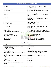| Sunil Arora                        | Non-Executive Chairman of Gram Unnati an           |
|------------------------------------|----------------------------------------------------|
|                                    | agriculture start-up                               |
| Mr. Naveen Srivastava              | Next Ambassador to Nepal                           |
| <b>B</b> Govindarajan              | CEO of Eicher Motors parent company of Royal       |
|                                    | Enfield                                            |
| Kamal Bawa                         | <b>US National Academy of Sciences</b>             |
| Pieter Elber                       | New Chief Executive Officer (CEO) of the Airline   |
|                                    | IndiGo                                             |
| <b>Gopal Vittal</b>                | MD & CEO of Bharati Airtel                         |
| Aruna Singh                        | Chairman & MD of RailTel Corporation of India      |
|                                    | Limited (RCIL)                                     |
| Salil Parekh                       | MD, and CEO of Infosys                             |
| Anthony Albanese                   | Prime Minister of Australia                        |
| Vinai Kumar Saxena                 | Delhi Lt Governor                                  |
| <b>Tedros Adhanom Ghebreyesus</b>  | Director-General of WHO                            |
| Rajesh Bhushan                     | Chairperson of the financial and administrative    |
|                                    | Committee                                          |
| Gauray Sachdeva                    | CEO of JSW One Platforms                           |
| <b>Abhilash Barak</b>              | First Woman Combat aviator in the Indian Army      |
| Indian Officer Anwar Hussain Shaik | Chair of the World Trade organization committee on |
|                                    | <b>Technical Barriers to Trade</b>                 |
| Ranil Wickremasinghe               | New Prime Minister of Sri Lanka                    |
| Sheikh Mohd Zayed Al Nahyan        | <b>Next President of the UAE</b>                   |
| Pradip Kumar Mohanty               | Additional Charge of Lokpal Chairperson            |
| Sameer Khetripal                   | New CEO & MD at Jubilant Foodworks                 |
| <b>Oscar Brodkin</b>               | Managing Director of Asia Pacific (APAC)           |

# **Awards and Honours**

<span id="page-17-0"></span>

| <b>Awards</b>                                        | Awardee                                       |
|------------------------------------------------------|-----------------------------------------------|
| Pulitzer prize again, this time under the feature    | Danish Siddiqui                               |
| photography category                                 |                                               |
| Royal Gold Medal 2022                                | <b>IB V Doshi</b>                             |
| 2022 Templeton Prize                                 | Dr. Frank Wilczek                             |
| <b>British Honorary Award</b>                        | Mr.Ajay Piramal chairman of the Piramal group |
| William E. Colby Award for military and intelligence | Author and Journalist Wesley Morgan           |
| writing                                              |                                               |
| Seema Nazareth Award For Excellence in Journalism    | Political Journalist and orator Nitin Kumar   |
| 2021                                                 |                                               |
| 2022 L'OEII d'Or award for his documentary "All That | Shaunak Sen                                   |
| Breathes"                                            |                                               |
| William E.Colby Award for 2022                       | <b>Wesley Morgan</b>                          |
| Best Content Award and Immunization Award by         | RJ Umer                                       |
| <b>UNICEF</b>                                        |                                               |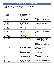<span id="page-18-0"></span>

| V Shantharam lifetime achievement award at    | Sanjit Narwekar |
|-----------------------------------------------|-----------------|
| MIFF (Mumbai International Film Festival)2022 |                 |

# **Important Days**

| <b>Date</b>               | Day                                     | <b>Theme</b>                                                                                           |
|---------------------------|-----------------------------------------|--------------------------------------------------------------------------------------------------------|
| $1st$ May 2022            | International Labour Day                |                                                                                                        |
| $1st$ May 2022            | Maharashtra Day                         | $-$                                                                                                    |
| 3rd May 2022              | World Press Freedom Day                 | Theme: "Journalism under digital<br>siege"                                                             |
| 3rd May 2022              | World Asthma Day                        | Theme: 'Closing Gaps in Asthma<br>Care'                                                                |
| $4th$ May 2022            | International Firefighters Day          |                                                                                                        |
| 5 <sup>th</sup> May 2022  | <b>International Midwives Day</b>       | Theme: 100 Years of Progress!                                                                          |
| 5 <sup>th</sup> May 2022  | World Hand Hygiene Day                  | Theme: Unite for safety: clean<br>your hands                                                           |
| $6th$ May 2022            | World War Infants Day                   | $-$                                                                                                    |
| 6 <sup>th</sup> May 2022  | International No Diet Day               | $-$                                                                                                    |
| 7 <sup>th</sup> May 2022  | <b>World Athletics Day</b>              |                                                                                                        |
| 8 <sup>th</sup> May 2022  | <b>World Red Cross</b>                  | Theme: Believe in the power of<br>kindness                                                             |
| 8 <sup>th</sup> May 2022  | Mother's Day                            | $-$                                                                                                    |
| 9 <sup>th</sup> May 2022  | Tagore Jayanti                          | $\overline{a}$                                                                                         |
| 10 <sup>th</sup> May 2022 | International Day of Argania            | $-$                                                                                                    |
| 11 <sup>th</sup> May 2022 | <b>National Technology Day</b>          | Theme: "Integrated Approach in<br>Science and technology for<br>sustainable future"                    |
| 12 <sup>th</sup> May 2022 | <b>International Nurses Day</b>         | Theme: "Nurses: A Voice to Lead-<br>Invest in Nursing and Respect<br>Rights to Secure a Global Health" |
| 14 <sup>th</sup> May 2022 | <b>World Migratory Day</b>              | Theme: Light Pollution                                                                                 |
| 15 <sup>th</sup> May 2022 | <b>International Day of Families</b>    | Theme: 'Families and<br>Urbanisation'                                                                  |
| 16 <sup>th</sup> May 2022 | International Day of Living<br>Together |                                                                                                        |
| 16 <sup>th</sup> May 2022 | International Day of Light 2022         | Theme: Basic sciences for<br>sustainable development and<br>glass                                      |
| 17 <sup>th</sup> May 2022 | World Hypertension Day                  | Theme: 'Measure your blood<br>pressure accurately, control it,<br>Live longer'                         |
| 18 <sup>th</sup> May 2022 | <b>International Museum Day</b>         | Theme: 'The Power of Museums'                                                                          |
| 18 <sup>th</sup> May 2022 | World AIDS Vaccine Day                  | $-$                                                                                                    |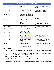| 20 <sup>th</sup> May 2022                         | World Bee Day                         | Theme: 'Bee Engaged: Celebrating      |
|---------------------------------------------------|---------------------------------------|---------------------------------------|
|                                                   |                                       |                                       |
|                                                   |                                       | the diversity of bees and             |
|                                                   |                                       | beekeeping systems'                   |
| 20 <sup>th</sup> May 2022                         | National Endangered Species Day       | Theme: "Recovering key species        |
|                                                   |                                       | for ecosystem restoration"            |
| 21 <sup>st</sup> May 2022                         | International Tea Day                 | $-$                                   |
| 21st May 2022                                     | World Day for Cultural Diversity      | $-$                                   |
|                                                   | for Dialogue and Development          |                                       |
| 22nd May 2022                                     | <b>International Biodiversity Day</b> | Theme: Building a shared future       |
|                                                   |                                       | for all life                          |
| 23rd May 2022                                     | World Turtle Day                      |                                       |
| 23rd May 2022                                     | International Day to End Obstetric    | --                                    |
|                                                   | Fistula                               |                                       |
| 24th May 2022                                     | Commonwealth Day                      | Theme: 'Delivering a Common           |
|                                                   |                                       | Future'                               |
| 25 <sup>th</sup> May 2022                         | World Thyroid Day                     | Theme: It's not you. It's your        |
|                                                   |                                       | thyroid                               |
| 25 <sup>th</sup> May to 31 <sup>st</sup> May 2022 | International Week of Solidarity      | $-$                                   |
|                                                   | with the Peoples of Non-Self-         |                                       |
|                                                   | <b>Governing Territories</b>          |                                       |
| 25 <sup>th</sup> May 2022                         | International Missing Children's      | $-$                                   |
|                                                   | Day                                   |                                       |
| 28 <sup>th</sup> May 2022                         | Menstrual Hygiene Day                 | Theme: To create a world where        |
|                                                   |                                       | no woman or girl is held back         |
|                                                   |                                       | because they menstruate by 2030       |
| 29th May 2022                                     | International Day of UN Peace         | Theme: People Peace Progress:         |
|                                                   | <b>Keepers</b>                        | The Power of Partnerships             |
| 30 <sup>th</sup> May 2022                         | World Vape Day                        |                                       |
| 31 <sup>st</sup> May 2022                         | World No-Tobacco Day                  | <b>Theme: Protect The Environment</b> |

# **MOUs Signed**

# <span id="page-19-0"></span>**India - UAE Trade Pact**

- India and UAE Trade pact has come into force and is bound **to give thrust to increased bilateral trade and investment.**
- Signed in February this year, the ambitious India -UAE Trade pact has come into force. It would boost bilateral trade from **60 bn USD to 100 bn USD in the next five years.**

# **WEF & NITI Aayog Join Hands to Work on Emerging Technologies**

- The **fourth industrial revolution will not play important role in agriculture** but also in health, urban transformation urban space, and the environment.
- For this purpose **WEF set up the center for the fourth industrial revolution in 2017 to help these core sectors.**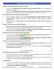# **Ministry of Agriculture & Farmers signs MoU with UNDP**

- As per the MoU, **UNDP will provide its expertise in systems and global support** for the implementation of credit & crop insurance.
- Apart from that, **UNDP will also facilitate capacity development, education & proper communication support** so that it will benefit the interest of small and marginal farmers women croppers, etc.

# **MSDE signs MoU ISB to Provide Capacity Building Program**

- The main objective of signing an MOU is **to develop leadership skills among these officers and also strategic mindsets, which in turn helps in gaining insights into data analytics and digital transformation.**
- Through this program, **they wanted to create an environment of innovation with their respective organizations.**

# **Ministry of Heavy Industries and NRDC Collaborated**

- **Ministry of Heavy Industries has collaborated with the National Research Development Corporation** to implement the scheme to Enhancement the competition in Indian Capital Goods.
- As per the agreement, **NRDC will conduct the evaluation and management of intellectual property, and as provide commercialization support for capital goods.**

# **Gem signed Mou with Self Employed Women's Associations**

- As per the agreement, **GeM will train SEWA members to assist and empower women-led micro** and small enterprises, and SHGs among others.
- The training includes processes related **to seller registration and on-boarding on the platform, upload/ update of product/ service catalogs, acceptance of orders, etc.**

# **India and US have agreed upon Investment Incentive in Tokyo**

- Earlier this agreement has been **signed between India and the US in the year 1997.** Which includes the **creation of DFC (Development Finance Corporation).**
- The Corporation or its precursor agencies are active in India since 1974 and have **so far provided investment support worth \$5.8 bn.**

# **Government Schemes**

# <span id="page-20-0"></span>**Maharashtra Government Launches JIVHALA Loan Scheme**

- The loan will be disbursed to those who have served a minimum of **three** years of the term. The scheme has been launched on a pilot basis from **Yerwada Jail of Pune.**
- 50,000 rupees, is to be lent to the prisoners charged at a rate of interest of 7 % per annum. The Bank will contribute 1% of its earnings to the **Prisoner's Welfare Fund.**

# **CAPF PUNARVAS**

• In a new move to help the retired CAPF Personnel secure reemployment post-retirement, the Ministry of Home Affairs has come up with the initiative CAPF PUNARVAS. This would be implemented through the **Welfare and Rehabilitation Board (WARB).**

**WWW.BANKEXAMSTODAY.COM WWW.BANKEXAMSTODAY.COM WWW.BANKEXAMSTODAY.COM**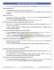This portal allows **both job seekers and job providers to come together** and fulfill their mutual needs.

# **Mission Basundhara 2.0**

- The **Assam Government** has launched Mission Basundhara 2.0.
- The purpose is **to solve the land issues and provide for quicker mitigation under a governance framework.**

# **Mission Amrit Sarovar**

- It's been a part of Azadi ka Amrit Mahotsav in which they were going **to develop and rejuvenate 75 water bodies in each district of the country.**
- This lead to the **creation of 50,000 water bodies of a size** of about an Acre or more.

**Union Telecom Minister Ashwini Launched Gati Shakti Sanchar Portal**

- With the help of this **portal telecom department will speed up the process of laying fibers** and tower Installation for the 5G rollout.
- Through this **portal industries can apply for Right of Way (ROW) approvals in building telecom infrastructure for 5G services.**

# **Govt of India is planning to integrate two Important Schemes**

- **To bring unorganized sectors covered under social security benefits,** the Ministry of Labour & Employment planned to integrate both e- shram portal with ration card scheme.
- To tackle it the **Unorganised Workers Social Security Board was initiated in 2008. The** Unorganised Worker Identification Number was initiated in 2015, which enumerates informal and migrant workers.

# **MoHUA has Launched Swach Survekshan 2023**

- Recently Ministry of Housing & Urban Affairs launched Swach Survekshan with the theme **"Waste to Wealth" for garbage-free cities.**
- <span id="page-21-0"></span>This time priority has been **given to the principle of 3Rs – Reduce, Recycle and Reuse in this survey.**

# **Defence**

# **Indian Navy introduced two Front Line War Ships**

- **INS Surat is one of the fourth and last stealth guided-missile destroyers of the Indian Navy** which was built at the Mazgaon Docks Ltd, Mumbai.
- This Stealth destroyer has been **introduced under project 15B, which consists of the most technologically advanced guided-missile destroyer with state of art weapons.**

**Indian Test Fires 1st indigenously developed Naval Anti-Ship Missile**

- The **Indian Navy in collaboration with DRDO** carried out a successful test of the Naval Anti-Ship Missile.
- This Anti-missile system was **developed indigenously for the Indian Navy by DRDO.**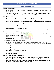# **Science and Technology**

# <span id="page-22-0"></span>**Portable Desalination Unit**

- Researchers at the prestigious Massachusetts Institute of Technology **(MIT),** have developed a Portable Desalination kit.
- The unit costs 50 USD, which is very much affordable. The kit uses **ion concentration polarization** to remove the impurities along with pathogens by creating an electric field.

# **PK2: A Treatment against Diabetes**

- **Researchers at IIT Mandi, have been able to develop PK2** which is capable of triggering the release of INSULIN by the Pancreas. It can be orally administered to the targeted patients.
- It will be a unique panacea **for Diabetic patients because it would replace the need for external insulin to be injected to maintain the blood sugar level.**

# **First Image of Black Hole at Milky Way Galaxy Centre**

- This image was snapped by the **same Event Horizon Telescope that unveiled the first-ever photo of a black hole** residing at the heart of another galaxy.
- The Event Horizon Telescope is a group of **8 radio telescopes located in different parts of world.**

# **GAIL to Set up India's Largest PEM Based Green Hydrogen Project**

- The project would be installed at **GAIL's Vijaipur Complex, in Guna District of Madhya Pradesh,** and this may be supported by renewable power.
- This has been designed **to produce around 4.3 Metric Tons of Hydrogen per day with a purity of about 99.999% volume.**

# **National Cyber Forensic Lab Opened in Hyderabad**

- Ministry of Home Affairs already permitted the **establishment of NCFL in December last year.**
- This lab has been created under the **Cyber and Information Security Division which includes Hitech technologies and infrastructure** to tackle the issues in digital forensics.

# **ISRO Successfully Conducted a Test in S200 Rocket Boosters**

- According to ISRO, **the HS200 rocket booster is the human-rated version of the well-proven s200 booster** of GSLV MK-3 which is also called LMV3.
- These HS200 boosters were developed **at Vikram Sarabhai Space Centre, and propelling casting was done at SDSC Sriharikota.**

# **Scientists Discover Rare Snake Fossil in Ladakh**

- The newly discovered **Madtsoiidae is an extinct group of medium-sized to gigantic snakes, initially**, they appeared in the Cretaceous later they spread their population across Gondwana landmasses.
- Later they disappeared from **all Gondwana continents except for Australia, since the last known Taxon by name of Wonambi was found in the Pleistocene period.**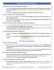# **India got its 1st 5G Test Beds Developed by IIT Madras**

- It has been **developed by IIT Madras along with 8 institutes like IIT Delhi IIT Hyderabad IISc Banglore, IIT Bombay, IIT Kanpur,** and Centre of Excellence in wireless technology and has been set up at a cost of 220 crores.
- Presently this **testbed facility makes available for 5 different locations in the country.**

# **Ministry of Electronics and IT releases Draft Norms**

- This Framework is designed especially **for artificial intelligence (AI) start-ups, AI research entities, and government departments.**
- This Framework govt will **improve citizens' experience and engagement with the government and governance as a 'Digital Nagrik'.**

# **BRICS Countries launch a Joint Committee to Further Space Cooperation**

- To work in the remote sensing satellite observation and data sharing fields. The BRICS countries have launched a **joint committee to enhance space cooperation.**
- It **will guide cooperation on the BRICS Remote Sensing Satellite** Constellation to better serve economic and social development among the member countries.

# **IIT Delhi study Decodes Evolution of SARS-CoV-2**

- This can help in **better understanding COVID-19's immune evasion and the emergence of variants of concern.**
- It is also noted that **SARS-CoV-2 genomes rapidly decrease after the first few months of evolution in humans.**

# **Summits and Conferences**

# <span id="page-23-0"></span>**2nd India - Nordic Summit 2022**

- Nordic Summit is one of its kind summits, that allow India and the Nordic countries **to negotiate terms of trade, people-to-people connections, cultural exchanges, technology transfer, and augmentation among others.**
- The summit would take place in Copenhagen, Denmark. This summit would be **attended by India and Nordic countries that including Denmark, Finland, Iceland, Norway, and Sweden.**

# **SCO Anti-Terror Meet Going to be Held in New Delhi**

- **SCO-RATS is a regional anti-terror assembly designed to combat terrorism, separatism, and extremism in Asia** and Central Asian Countries. Especially to combat against Afghan-Pak Terror network.
- Presently the chair of the **executive council of RATS comes under India.**

# **India's First International Cruise Conference 2022**

 **Union Minister for Culture, Tourism G Kishan Reddy** informed that they were also working on a 'Comprehensive Indian National Tourism Policy, where they will keep Cruise tourism will certainly be a priority sector.